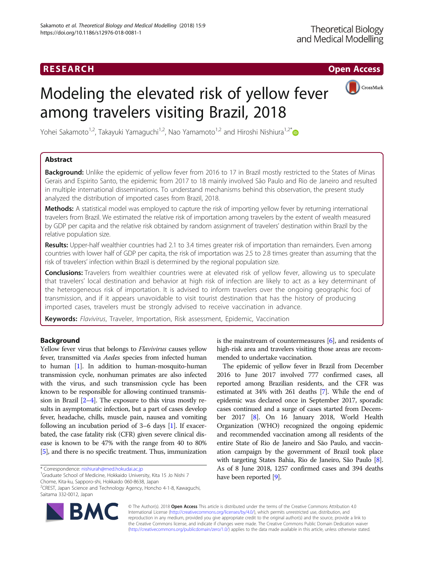## RESEARCH **RESEARCH CHOOSE INTERNATIONAL CONTRACT CONTRACT CONTRACT CONTRACT CONTRACT CONTRACT CONTRACT CONTRACT CONTRACT CONTRACT CONTRACT CONTRACT CONTRACT CONTRACT CONTRACT CONTRACT CONTRACT CONTRACT CONTRACT CONTRACT**



# Modeling the elevated risk of yellow fever among travelers visiting Brazil, 2018

Yohei Sakamoto<sup>1,2</sup>, Takayuki Yamaguchi<sup>1,2</sup>, Nao Yamamoto<sup>1,2</sup> and Hiroshi Nishiura<sup>1,2\*</sup>

### Abstract

Background: Unlike the epidemic of yellow fever from 2016 to 17 in Brazil mostly restricted to the States of Minas Gerais and Espirito Santo, the epidemic from 2017 to 18 mainly involved São Paulo and Rio de Janeiro and resulted in multiple international disseminations. To understand mechanisms behind this observation, the present study analyzed the distribution of imported cases from Brazil, 2018.

Methods: A statistical model was employed to capture the risk of importing yellow fever by returning international travelers from Brazil. We estimated the relative risk of importation among travelers by the extent of wealth measured by GDP per capita and the relative risk obtained by random assignment of travelers' destination within Brazil by the relative population size.

Results: Upper-half wealthier countries had 2.1 to 3.4 times greater risk of importation than remainders. Even among countries with lower half of GDP per capita, the risk of importation was 2.5 to 2.8 times greater than assuming that the risk of travelers' infection within Brazil is determined by the regional population size.

**Conclusions:** Travelers from wealthier countries were at elevated risk of yellow fever, allowing us to speculate that travelers' local destination and behavior at high risk of infection are likely to act as a key determinant of the heterogeneous risk of importation. It is advised to inform travelers over the ongoing geographic foci of transmission, and if it appears unavoidable to visit tourist destination that has the history of producing imported cases, travelers must be strongly advised to receive vaccination in advance.

Keywords: Flavivirus, Traveler, Importation, Risk assessment, Epidemic, Vaccination

#### Background

Yellow fever virus that belongs to *Flavivirus* causes yellow fever, transmitted via Aedes species from infected human to human [[1](#page-5-0)]. In addition to human-mosquito-human transmission cycle, nonhuman primates are also infected with the virus, and such transmission cycle has been known to be responsible for allowing continued transmission in Brazil [\[2](#page-5-0)–[4\]](#page-5-0). The exposure to this virus mostly results in asymptomatic infection, but a part of cases develop fever, headache, chills, muscle pain, nausea and vomiting following an incubation period of 3–6 days [\[1\]](#page-5-0). If exacerbated, the case fatality risk (CFR) given severe clinical disease is known to be 47% with the range from 40 to 80% [[5](#page-5-0)], and there is no specific treatment. Thus, immunization

\* Correspondence: [nishiurah@med.hokudai.ac.jp](mailto:nishiurah@med.hokudai.ac.jp) <sup>1</sup>

<sup>1</sup>Graduate School of Medicine, Hokkaido University, Kita 15 Jo Nishi 7 Chome, Kita-ku, Sapporo-shi, Hokkaido 060-8638, Japan

2 CREST, Japan Science and Technology Agency, Honcho 4-1-8, Kawaguchi, Saitama 332-0012, Japan



is the mainstream of countermeasures [\[6](#page-5-0)], and residents of high-risk area and travelers visiting those areas are recommended to undertake vaccination.

The epidemic of yellow fever in Brazil from December 2016 to June 2017 involved 777 confirmed cases, all reported among Brazilian residents, and the CFR was estimated at 34% with 261 deaths [\[7](#page-5-0)]. While the end of epidemic was declared once in September 2017, sporadic cases continued and a surge of cases started from December 2017 [[8](#page-5-0)]. On 16 January 2018, World Health Organization (WHO) recognized the ongoing epidemic and recommended vaccination among all residents of the entire State of Rio de Janeiro and São Paulo, and vaccination campaign by the government of Brazil took place with targeting States Bahia, Rio de Janeiro, São Paulo [[8](#page-5-0)]. As of 8 June 2018, 1257 confirmed cases and 394 deaths have been reported [[9](#page-5-0)].

© The Author(s). 2018 Open Access This article is distributed under the terms of the Creative Commons Attribution 4.0 International License [\(http://creativecommons.org/licenses/by/4.0/](http://creativecommons.org/licenses/by/4.0/)), which permits unrestricted use, distribution, and reproduction in any medium, provided you give appropriate credit to the original author(s) and the source, provide a link to the Creative Commons license, and indicate if changes were made. The Creative Commons Public Domain Dedication waiver [\(http://creativecommons.org/publicdomain/zero/1.0/](http://creativecommons.org/publicdomain/zero/1.0/)) applies to the data made available in this article, unless otherwise stated.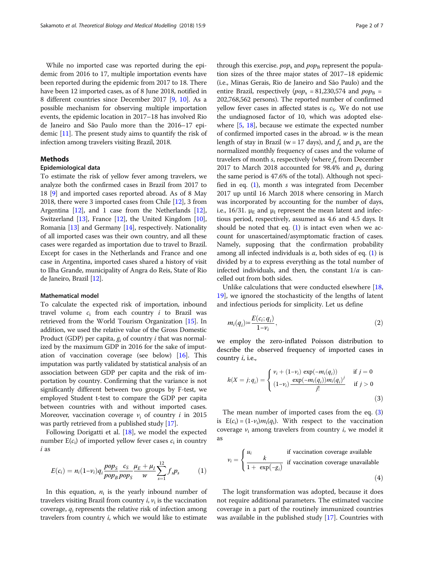<span id="page-1-0"></span>While no imported case was reported during the epidemic from 2016 to 17, multiple importation events have been reported during the epidemic from 2017 to 18. There have been 12 imported cases, as of 8 June 2018, notified in 8 different countries since December 2017 [\[9,](#page-5-0) [10\]](#page-5-0). As a possible mechanism for observing multiple importation events, the epidemic location in 2017–18 has involved Rio de Janeiro and São Paulo more than the 2016–17 epidemic [\[11\]](#page-5-0). The present study aims to quantify the risk of infection among travelers visiting Brazil, 2018.

#### Methods

#### Epidemiological data

To estimate the risk of yellow fever among travelers, we analyze both the confirmed cases in Brazil from 2017 to 18 [\[9\]](#page-5-0) and imported cases reported abroad. As of 8 May 2018, there were 3 imported cases from Chile [[12](#page-5-0)], 3 from Argentina [[12](#page-5-0)], and 1 case from the Netherlands [[12](#page-5-0)], Switzerland [[13](#page-5-0)], France [[12](#page-5-0)], the United Kingdom [[10](#page-5-0)], Romania [[13](#page-5-0)] and Germany [\[14\]](#page-5-0), respectively. Nationality of all imported cases was their own country, and all these cases were regarded as importation due to travel to Brazil. Except for cases in the Netherlands and France and one case in Argentina, imported cases shared a history of visit to Ilha Grande, municipality of Angra do Reis, State of Rio de Janeiro, Brazil [[12\]](#page-5-0).

#### Mathematical model

To calculate the expected risk of importation, inbound travel volume  $c_i$  from each country  $i$  to Brazil was retrieved from the World Tourism Organization [\[15\]](#page-5-0). In addition, we used the relative value of the Gross Domestic Product (GDP) per capita,  $g_i$  of country *i* that was normalized by the maximum GDP in 2016 for the sake of imputation of vaccination coverage (see below) [\[16\]](#page-5-0). This imputation was partly validated by statistical analysis of an association between GDP per capita and the risk of importation by country. Confirming that the variance is not significantly different between two groups by F-test, we employed Student t-test to compare the GDP per capita between countries with and without imported cases. Moreover, vaccination coverage  $v_i$  of country *i* in 2015 was partly retrieved from a published study [\[17\]](#page-5-0).

Following Dorigatti et al. [\[18](#page-5-0)], we model the expected number  $E(c_i)$  of imported yellow fever cases  $c_i$  in country i as

$$
E(c_i) = n_i(1-v_i)q_i \frac{pop_S}{pop_B} \frac{c_S}{pop_S} \frac{\mu_E + \mu_I}{w} \sum_{s=1}^{12} f_s p_s \tag{1}
$$

In this equation,  $n_i$  is the yearly inbound number of travelers visiting Brazil from country  $i$ ,  $v_i$  is the vaccination coverage,  $q_i$  represents the relative risk of infection among travelers from country  $i$ , which we would like to estimate

through this exercise.  $pop_s$  and  $pop_B$  represent the population sizes of the three major states of 2017–18 epidemic (i.e., Minas Gerais, Rio de Janeiro and São Paulo) and the entire Brazil, respectively ( $pop_s = 81,230,574$  and  $pop_B =$ 202,768,562 persons). The reported number of confirmed yellow fever cases in affected states is  $c_S$ . We do not use the undiagnosed factor of 10, which was adopted elsewhere [[5](#page-5-0), [18\]](#page-5-0), because we estimate the expected number of confirmed imported cases in the abroad.  $w$  is the mean length of stay in Brazil (w = 17 days), and  $f_s$  and  $p_s$  are the normalized monthly frequency of cases and the volume of travelers of month s, respectively (where  $f_s$  from December 2017 to March 2018 accounted for 98.4% and  $p_s$  during the same period is 47.6% of the total). Although not specified in eq.  $(1)$ , month s was integrated from December 2017 up until 16 March 2018 where censoring in March was incorporated by accounting for the number of days, i.e., 16/31.  $\mu_E$  and  $\mu_I$  represent the mean latent and infectious period, respectively, assumed as 4.6 and 4.5 days. It should be noted that eq.  $(1)$  is intact even when we account for unascertained/asymptomatic fraction of cases. Namely, supposing that the confirmation probability among all infected individuals is  $\alpha$ , both sides of eq. (1) is divided by  $\alpha$  to express everything as the total number of infected individuals, and then, the constant  $1/\alpha$  is cancelled out from both sides.

Unlike calculations that were conducted elsewhere [[18](#page-5-0), [19\]](#page-5-0), we ignored the stochasticity of the lengths of latent and infectious periods for simplicity. Let us define

$$
m_i(q_i) = \frac{E(c_i; q_i)}{1 - v_i},\tag{2}
$$

we employ the zero-inflated Poisson distribution to describe the observed frequency of imported cases in country  $i$ , i.e.,

$$
h(X = j; q_i) = \begin{cases} v_i + (1 - v_i) \exp(-m_i(q_i)) & \text{if } j = 0\\ (1 - v_i) \frac{\exp(-m_i(q_i))m_i(q_i)^j}{j!} & \text{if } j > 0 \end{cases}
$$
(3)

The mean number of imported cases from the eq. (3) is  $E(c_i) = (1-v_i)m_i(q_i)$ . With respect to the vaccination coverage  $v_i$  among travelers from country  $i$ , we model it as

$$
v_i = \begin{cases} u_i & \text{if vaccination coverage available} \\ \frac{k}{1 + \exp(-g_i)} & \text{if vaccination coverage unavailable} \end{cases}
$$
(4)

The logit transformation was adopted, because it does not require additional parameters. The estimated vaccine coverage in a part of the routinely immunized countries was available in the published study [\[17\]](#page-5-0). Countries with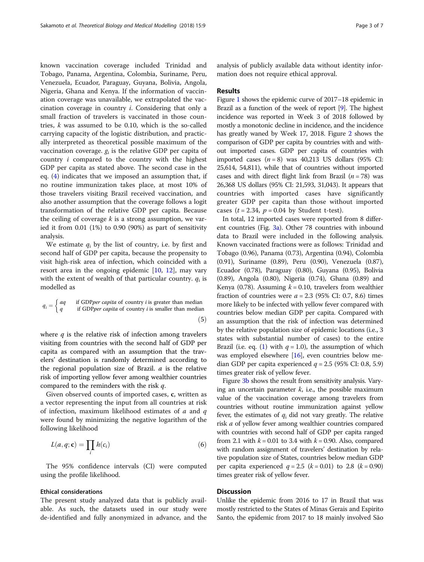known vaccination coverage included Trinidad and Tobago, Panama, Argentina, Colombia, Suriname, Peru, Venezuela, Ecuador, Paraguay, Guyana, Bolivia, Angola, Nigeria, Ghana and Kenya. If the information of vaccination coverage was unavailable, we extrapolated the vaccination coverage in country  $i$ . Considering that only a small fraction of travelers is vaccinated in those countries,  $k$  was assumed to be 0.10, which is the so-called carrying capacity of the logistic distribution, and practically interpreted as theoretical possible maximum of the vaccination coverage.  $g_i$  is the relative GDP per capita of country i compared to the country with the highest GDP per capita as stated above. The second case in the eq. [\(4](#page-1-0)) indicates that we imposed an assumption that, if no routine immunization takes place, at most 10% of those travelers visiting Brazil received vaccination, and also another assumption that the coverage follows a logit transformation of the relative GDP per capita. Because the ceiling of coverage  $k$  is a strong assumption, we varied it from 0.01 (1%) to 0.90 (90%) as part of sensitivity analysis.

We estimate  $q_i$  by the list of country, i.e. by first and second half of GDP per capita, because the propensity to visit high-risk area of infection, which coincided with a resort area in the ongoing epidemic [[10,](#page-5-0) [12\]](#page-5-0), may vary with the extent of wealth of that particular country.  $q_i$  is modelled as

$$
q_i = \begin{cases} aq & \text{if GDP} per \text{ capita of country } i \text{ is greater than median} \\ q & \text{if GDP} per \text{ capita of country } i \text{ is smaller than median} \end{cases} \tag{5}
$$

where  $q$  is the relative risk of infection among travelers visiting from countries with the second half of GDP per capita as compared with an assumption that the travelers' destination is randomly determined according to the regional population size of Brazil.  $a$  is the relative risk of importing yellow fever among wealthier countries compared to the reminders with the risk q.

Given observed counts of imported cases, c, written as a vector representing the input from all countries at risk of infection, maximum likelihood estimates of  $a$  and  $q$ were found by minimizing the negative logarithm of the following likelihood

$$
L(a,q; \mathbf{c}) = \prod_i h(c_i) \tag{6}
$$

The 95% confidence intervals (CI) were computed using the profile likelihood.

#### Ethical considerations

The present study analyzed data that is publicly available. As such, the datasets used in our study were de-identified and fully anonymized in advance, and the analysis of publicly available data without identity information does not require ethical approval.

#### Results

Figure [1](#page-3-0) shows the epidemic curve of 2017–18 epidemic in Brazil as a function of the week of report [\[9\]](#page-5-0). The highest incidence was reported in Week 3 of 2018 followed by mostly a monotonic decline in incidence, and the incidence has greatly waned by Week 17, 2018. Figure [2](#page-3-0) shows the comparison of GDP per capita by countries with and without imported cases. GDP per capita of countries with imported cases  $(n = 8)$  was 40,213 US dollars (95% CI: 25,614, 54,811), while that of countries without imported cases and with direct flight link from Brazil  $(n = 78)$  was 26,368 US dollars (95% CI: 21,593, 31,043). It appears that countries with imported cases have significantly greater GDP per capita than those without imported cases ( $t = 2.34$ ,  $p = 0.04$  by Student t-test).

In total, 12 imported cases were reported from 8 different countries (Fig. [3a](#page-4-0)). Other 78 countries with inbound data to Brazil were included in the following analysis. Known vaccinated fractions were as follows: Trinidad and Tobago (0.96), Panama (0.73), Argentina (0.94), Colombia (0.91), Suriname (0.89), Peru (0.90), Venezuela (0.87), Ecuador (0.78), Paraguay (0.80), Guyana (0.95), Bolivia (0.89), Angola (0.80), Nigeria (0.74), Ghana (0.89) and Kenya (0.78). Assuming  $k = 0.10$ , travelers from wealthier fraction of countries were  $a = 2.3$  (95% CI: 0.7, 8.6) times more likely to be infected with yellow fever compared with countries below median GDP per capita. Compared with an assumption that the risk of infection was determined by the relative population size of epidemic locations (i.e., 3 states with substantial number of cases) to the entire Brazil (i.e. eq. ([1\)](#page-1-0) with  $q = 1.0$ ), the assumption of which was employed elsewhere [[16](#page-5-0)], even countries below median GDP per capita experienced  $q = 2.5$  (95% CI: 0.8, 5.9) times greater risk of yellow fever.

Figure [3b](#page-4-0) shows the result from sensitivity analysis. Varying an uncertain parameter  $k$ , i.e., the possible maximum value of the vaccination coverage among travelers from countries without routine immunization against yellow fever, the estimates of  $q_i$  did not vary greatly. The relative risk a of yellow fever among wealthier countries compared with countries with second half of GDP per capita ranged from 2.1 with  $k = 0.01$  to 3.4 with  $k = 0.90$ . Also, compared with random assignment of travelers' destination by relative population size of States, countries below median GDP per capita experienced  $q = 2.5$  ( $k = 0.01$ ) to 2.8 ( $k = 0.90$ ) times greater risk of yellow fever.

#### **Discussion**

Unlike the epidemic from 2016 to 17 in Brazil that was mostly restricted to the States of Minas Gerais and Espirito Santo, the epidemic from 2017 to 18 mainly involved São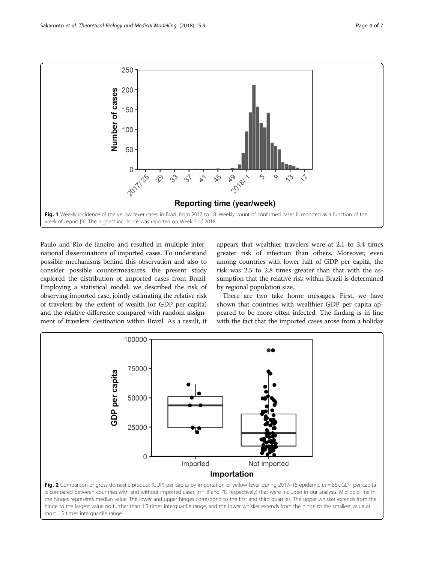<span id="page-3-0"></span>



**Reporting time (year/week)** 

Paulo and Rio de Janeiro and resulted in multiple international disseminations of imported cases. To understand possible mechanisms behind this observation and also to consider possible countermeasures, the present study explored the distribution of imported cases from Brazil. Employing a statistical model, we described the risk of observing imported case, jointly estimating the relative risk of travelers by the extent of wealth (or GDP per capita) and the relative difference compared with random assignment of travelers' destination within Brazil. As a result, it

appears that wealthier travelers were at 2.1 to 3.4 times greater risk of infection than others. Moreover, even among countries with lower half of GDP per capita, the risk was 2.5 to 2.8 times greater than that with the assumption that the relative risk within Brazil is determined by regional population size.

There are two take home messages. First, we have shown that countries with wealthier GDP per capita appeared to be more often infected. The finding is in line with the fact that the imported cases arose from a holiday



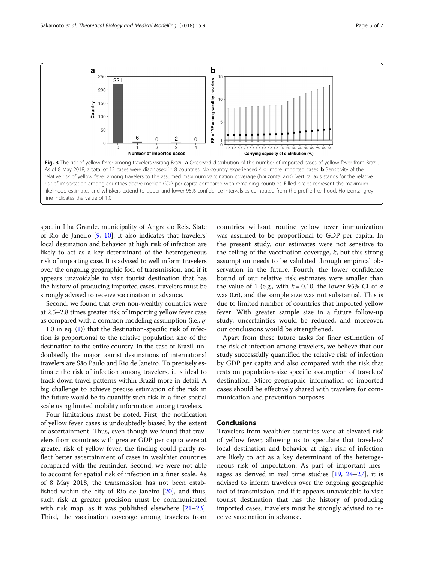<span id="page-4-0"></span>

spot in Ilha Grande, municipality of Angra do Reis, State of Rio de Janeiro [\[9](#page-5-0), [10](#page-5-0)]. It also indicates that travelers' local destination and behavior at high risk of infection are likely to act as a key determinant of the heterogeneous risk of importing case. It is advised to well inform travelers over the ongoing geographic foci of transmission, and if it appears unavoidable to visit tourist destination that has the history of producing imported cases, travelers must be strongly advised to receive vaccination in advance.

Second, we found that even non-wealthy countries were at 2.5–2.8 times greater risk of importing yellow fever case as compared with a common modeling assumption (i.e., q  $= 1.0$  $= 1.0$  $= 1.0$  in eq. (1)) that the destination-specific risk of infection is proportional to the relative population size of the destination to the entire country. In the case of Brazil, undoubtedly the major tourist destinations of international travelers are São Paulo and Rio de Janeiro. To precisely estimate the risk of infection among travelers, it is ideal to track down travel patterns within Brazil more in detail. A big challenge to achieve precise estimation of the risk in the future would be to quantify such risk in a finer spatial scale using limited mobility information among travelers.

Four limitations must be noted. First, the notification of yellow fever cases is undoubtedly biased by the extent of ascertainment. Thus, even though we found that travelers from countries with greater GDP per capita were at greater risk of yellow fever, the finding could partly reflect better ascertainment of cases in wealthier countries compared with the reminder. Second, we were not able to account for spatial risk of infection in a finer scale. As of 8 May 2018, the transmission has not been established within the city of Rio de Janeiro [[20\]](#page-5-0), and thus, such risk at greater precision must be communicated with risk map, as it was published elsewhere [[21](#page-5-0)–[23](#page-5-0)]. Third, the vaccination coverage among travelers from

countries without routine yellow fever immunization was assumed to be proportional to GDP per capita. In the present study, our estimates were not sensitive to the ceiling of the vaccination coverage,  $k$ , but this strong assumption needs to be validated through empirical observation in the future. Fourth, the lower confidence bound of our relative risk estimates were smaller than the value of 1 (e.g., with  $k = 0.10$ , the lower 95% CI of a was 0.6), and the sample size was not substantial. This is due to limited number of countries that imported yellow fever. With greater sample size in a future follow-up study, uncertainties would be reduced, and moreover, our conclusions would be strengthened.

Apart from these future tasks for finer estimation of the risk of infection among travelers, we believe that our study successfully quantified the relative risk of infection by GDP per capita and also compared with the risk that rests on population-size specific assumption of travelers' destination. Micro-geographic information of imported cases should be effectively shared with travelers for communication and prevention purposes.

#### Conclusions

Travelers from wealthier countries were at elevated risk of yellow fever, allowing us to speculate that travelers' local destination and behavior at high risk of infection are likely to act as a key determinant of the heterogeneous risk of importation. As part of important messages as derived in real time studies  $[19, 24-27]$  $[19, 24-27]$  $[19, 24-27]$  $[19, 24-27]$  $[19, 24-27]$  $[19, 24-27]$ , it is advised to inform travelers over the ongoing geographic foci of transmission, and if it appears unavoidable to visit tourist destination that has the history of producing imported cases, travelers must be strongly advised to receive vaccination in advance.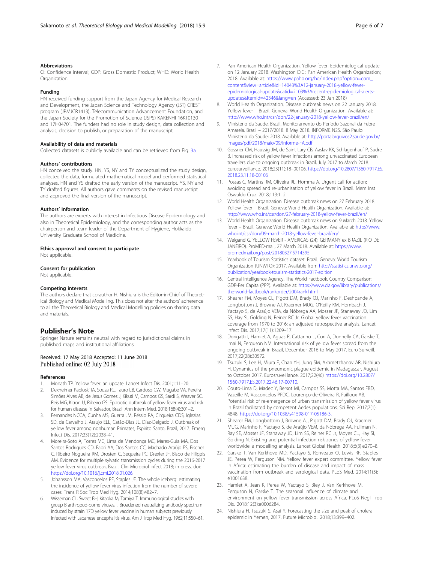#### <span id="page-5-0"></span>Abbreviations

CI: Confidence interval; GDP: Gross Domestic Product; WHO: World Health **Organization** 

#### Funding

HN received funding support from the Japan Agency for Medical Research and Development, the Japan Science and Technology Agency (JST) CREST program (JPMJCR1413), Telecommunication Advancement Foundation, and the Japan Society for the Promotion of Science (JSPS) KAKENHI 16KT0130 and 17H04701. The funders had no role in study design, data collection and analysis, decision to publish, or preparation of the manuscript.

#### Availability of data and materials

Collected datasets is publicly available and can be retrieved from Fig. [3a](#page-4-0).

#### Authors' contributions

HN conceived the study. HN, YS, NY and TY conceptualized the study design, collected the data, formulated mathematical model and performed statistical analyses. HN and YS drafted the early version of the manuscript. YS, NY and TY drafted figures. All authors gave comments on the revised manuscript and approved the final version of the manuscript.

#### Authors' information

The authors are experts with interest in Infectious Disease Epidemiology and also in Theoretical Epidemiology, and the corresponding author acts as the chairperson and team leader of the Department of Hygiene, Hokkaido University Graduate School of Medicine.

#### Ethics approval and consent to participate

Not applicable.

#### Consent for publication

Not applicable.

#### Competing interests

The authors declare that co-author H. Nishiura is the Editor-in-Chief of Theoretical Biology and Medical Modelling. This does not alter the authors' adherence to all the Theoretical Biology and Medical Modelling policies on sharing data and materials.

#### Publisher's Note

Springer Nature remains neutral with regard to jurisdictional claims in published maps and institutional affiliations.

# Received: 17 May 2018 Accepted: 11 June 2018<br>Published online: 02 July 2018

#### References

- 1. Monath TP. Yellow fever: an update. Lancet Infect Dis. 2001;1:11–20.
- 2. Dexheimer Paploski IA, Souza RL, Tauro LB, Cardoso CW, Mugabe VA, Pereira Simões Alves AB, de Jesus Gomes J, Kikuti M, Campos GS, Sardi S, Weaver SC, Reis MG, Kitron U, Ribeiro GS. Epizootic outbreak of yellow fever virus and risk for human disease in Salvador, Brazil. Ann Intern Med. 2018;168(4):301–2.
- 3. Fernandes NCCA, Cunha MS, Guerra JM, Réssio RA, Cirqueira CDS, Iglezias SD, de Carvalho J, Araujo ELL, Catão-Dias JL, Díaz-Delgado J. Outbreak of yellow fever among nonhuman Primates, Espirito Santo, Brazil, 2017. Emerg Infect Dis. 2017;23(12):2038–41.
- 4. Moreira-Soto A, Torres MC, Lima de Mendonça MC, Mares-Guia MA, Dos Santos Rodrigues CD, Fabri AA, Dos Santos CC, Machado Araújo ES, Fischer C, Ribeiro Nogueira RM, Drosten C, Sequeira PC, Drexler JF, Bispo de Filippis AM. Evidence for multiple sylvatic transmission cycles during the 2016-2017 yellow fever virus outbreak, Brazil. Clin Microbiol Infect 2018; in press. doi: <https://doi.org/10.1016/j.cmi.2018.01.026>.
- 5. Johansson MA, Vasconcelos PF, Staples JE. The whole iceberg: estimating the incidence of yellow fever virus infection from the number of severe cases. Trans R Soc Trop Med Hyg. 2014;108(8):482–7.
- 6. Wisseman CL, Sweet BH, Kitaoka M, Tamiya T. Immunological studies with group B arthropod-borne viruses. I. Broadened neutralizing antibody spectrum induced by strain 17D yellow fever vaccine in human subjects previously infected with Japanese encephalitis virus. Am J Trop Med Hyg. 1962;11:550–61.
- 7. Pan American Health Organization. Yellow fever. Epidemiological update on 12 January 2018. Washington D.C.: Pan American Health Organization; 2018. Available at: [https://www.paho.org/hq/index.php?option=com\\_](https://www.paho.org/hq/index.php?option=com_content&view=article&id=14043%3A12-january-2018-yellow-fever-epidemiological-update&catid=2103%3Arecent-epidemiological-alerts-updates&Itemid=42346&lang=en) [content&view=article&id=14043%3A12-january-2018-yellow-fever](https://www.paho.org/hq/index.php?option=com_content&view=article&id=14043%3A12-january-2018-yellow-fever-epidemiological-update&catid=2103%3Arecent-epidemiological-alerts-updates&Itemid=42346&lang=en)[epidemiological-update&catid=2103%3Arecent-epidemiological-alerts](https://www.paho.org/hq/index.php?option=com_content&view=article&id=14043%3A12-january-2018-yellow-fever-epidemiological-update&catid=2103%3Arecent-epidemiological-alerts-updates&Itemid=42346&lang=en)[updates&Itemid=42346&lang=en](https://www.paho.org/hq/index.php?option=com_content&view=article&id=14043%3A12-january-2018-yellow-fever-epidemiological-update&catid=2103%3Arecent-epidemiological-alerts-updates&Itemid=42346&lang=en) (Accessed: 23 Jan 2018)
- 8. World Health Organization. Disease outbreak news on 22 January 2018. Yellow fever – Brazil. Geneva: World Health Organization. Available at: <http://www.who.int/csr/don/22-january-2018-yellow-fever-brazil/en/>
- 9. Ministerio da Saude, Brazil. Monitoramento do Período Sazonal da Febre Amarela. Brasil – 2017/2018. 8 May 2018. INFORME N25. São Paulo: Ministerio da Saude; 2018. Available at: [http://portalarquivos2.saude.gov.br/](http://portalarquivos2.saude.gov.br/images/pdf/2018/maio/09/Informe-FA.pdf) [images/pdf/2018/maio/09/Informe-FA.pdf](http://portalarquivos2.saude.gov.br/images/pdf/2018/maio/09/Informe-FA.pdf)
- 10. Gossner CM, Haussig JM, de Saint Lary CB, Aaslav KK, Schlagenhauf P, Sudre B. Increased risk of yellow fever infections among unvaccinated European travellers due to ongoing outbreak in Brazil, July 2017 to March 2018. Eurosurveillance. 2018;23(11):18–00106. [https://doi.org/10.2807/1560-7917.ES.](https://doi.org/10.2807/1560-7917.ES.2018.23.11.18-00106) [2018.23.11.18-00106](https://doi.org/10.2807/1560-7917.ES.2018.23.11.18-00106)
- 11. Possas C, Martins RM, Oliveira RL, Homma A. Urgent call for action: avoiding spread and re-urbanisation of yellow fever in Brazil. Mem Inst Oswaldo Cruz. 2018;113:1–2.
- 12. World Health Organization. Disease outbreak news on 27 February 2018. Yellow fever - Brazil. Geneva: World Health Organization. Available at: <http://www.who.int/csr/don/27-february-2018-yellow-fever-brazil/en/>
- 13. World Health Organization. Disease outbreak news on 9 March 2018. Yellow fever – Brazil. Geneva: World Health Organization. Available at: [http://www.](http://www.who.int/csr/don/09-march-2018-yellow-fever-brazil/en/) [who.int/csr/don/09-march-2018-yellow-fever-brazil/en/](http://www.who.int/csr/don/09-march-2018-yellow-fever-brazil/en/)
- 14. Weigand G. YELLOW FEVER AMERICAS (24): GERMANY ex BRAZIL (RIO DE JANEIRO). ProMED-mail, 27 March 2018. Available at: [https://www.](https://www.promedmail.org/post/20180327.5714395) [promedmail.org/post/20180327.5714395](https://www.promedmail.org/post/20180327.5714395)
- 15. Yearbook of Tourism Statistics dataset. Brazil. Geneva: World Tourism Organization (UNWTO); 2017. Available from [http://statistics.unwto.org/](http://statistics.unwto.org/publication/yearbook-tourism-statistics-2017-edition) [publication/yearbook-tourism-statistics-2017-edition](http://statistics.unwto.org/publication/yearbook-tourism-statistics-2017-edition)
- 16. Central Intelligence Agency. The World Factbook. Country Comparison: GDP-Per Capita (PPP). Available at: [https://www.cia.gov/library/publications/](https://www.cia.gov/library/publications/the-world-factbook/rankorder/2004rank.html) [the-world-factbook/rankorder/2004rank.html](https://www.cia.gov/library/publications/the-world-factbook/rankorder/2004rank.html)
- 17. Shearer FM, Moyes CL, Pigott DM, Brady OJ, Marinho F, Deshpande A, Longbottom J, Browne AJ, Kraemer MUG, O'Reilly KM, Hombach J, Yactayo S, de Araújo VEM, da Nóbrega AA, Mosser JF, Stanaway JD, Lim SS, Hay SI, Golding N, Reiner RC Jr. Global yellow fever vaccination coverage from 1970 to 2016: an adjusted retrospective analysis. Lancet Infect Dis. 2017;17(11):1209–17.
- 18. Dorigatti I, Hamlet A, Aguas R, Cattarino L, Cori A, Donnelly CA, Garske T, Imai N, Ferguson NM. International risk of yellow fever spread from the ongoing outbreak in Brazil, December 2016 to May 2017. Euro Surveill. 2017;22(28):30572.
- 19. Tsuzuki S, Lee H, Miura F, Chan YH, Jung SM, Akhmetzhanov AR, Nishiura H. Dynamics of the pneumonic plague epidemic in Madagascar, August to October 2017. Eurosruveillance. 2017;22(46) [https://doi.org/10.2807/](https://doi.org/10.2807/1560-7917.ES.2017.22.46.17-00710) [1560-7917.ES.2017.22.46.17-00710.](https://doi.org/10.2807/1560-7917.ES.2017.22.46.17-00710)
- 20. Couto-Lima D, Madec Y, Bersot MI, Campos SS, Motta MA, Santos FBD, Vazeille M, Vasconcelos PFDC, Lourenço-de-Oliveira R, Failloux AB. Potential risk of re-emergence of urban transmission of yellow fever virus in Brazil facilitated by competent Aedes populations. Sci Rep. 2017;7(1): 4848. <https://doi.org/10.1038/s41598-017-05186-3.>
- 21. Shearer FM, Longbottom J, Browne AJ, Pigott DM, Brady OJ, Kraemer MUG, Marinho F, Yactayo S, de Araújo VEM, da Nóbrega AA, Fullman N, Ray SE, Mosser JF, Stanaway JD, Lim SS, Reiner RC Jr, Moyes CL, Hay SI, Golding N. Existing and potential infection risk zones of yellow fever worldwide: a modelling analysis. Lancet Global Health. 2018;6(3):e270–8.
- 22. Garske T, Van Kerkhove MD, Yactayo S, Ronveaux O, Lewis RF, Staples JE, Perea W, Ferguson NM. Yellow fever expert committee. Yellow fever in Africa: estimating the burden of disease and impact of mass vaccination from outbreak and serological data. PLoS Med. 2014;11(5): e1001638.
- 23. Hamlet A, Jean K, Perea W, Yactayo S, Biey J, Van Kerkhove M, Ferguson N, Garske T. The seasonal influence of climate and environment on yellow fever transmission across Africa. PLoS Negl Trop Dis. 2018;12(3):e0006284.
- 24. Nishiura H, Tsuzuki S, Asai Y. Forecasting the size and peak of cholera epidemic in Yemen, 2017. Future Microbiol. 2018;13:399–402.